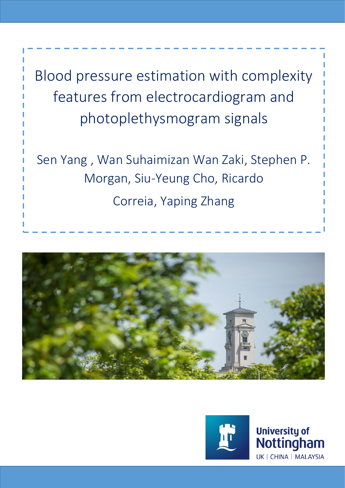Blood pressure estimation with complexity features from electrocardiogram and photoplethysmogram signals

Sen Yang , Wan Suhaimizan Wan Zaki, Stephen P. Morgan, Siu-Yeung Cho, Ricardo

Correia, Yaping Zhang





**University of** Nottingham UK | CHINA | MALAYSIA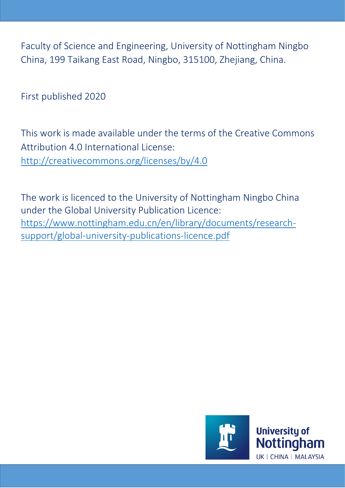Faculty of Science and Engineering, University of Nottingham Ningbo China, 199 Taikang East Road, Ningbo, 315100, Zhejiang, China.

First published 2020

This work is made available under the terms of the Creative Commons Attribution 4.0 International License: <http://creativecommons.org/licenses/by/4.0>

The work is licenced to the University of Nottingham Ningbo China under the Global University Publication Licence: [https://www.nottingham.edu.cn/en/library/documents/research](https://www.nottingham.edu.cn/en/library/documents/research-support/global-university-publications-licence.pdf)[support/global-university-publications-licence.pdf](https://www.nottingham.edu.cn/en/library/documents/research-support/global-university-publications-licence.pdf)

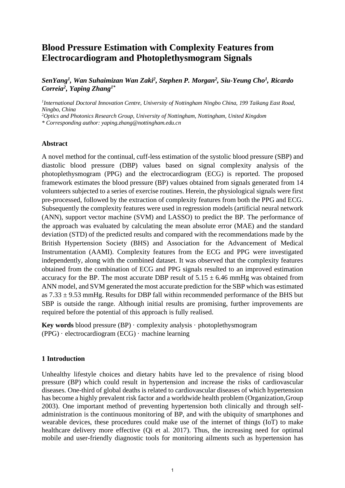# **Blood Pressure Estimation with Complexity Features from Electrocardiogram and Photoplethysmogram Signals**

*SenYang<sup>1</sup> , Wan Suhaimizan Wan Zaki<sup>2</sup> , Stephen P. Morgan<sup>2</sup> , Siu-Yeung Cho<sup>1</sup> , Ricardo Correia<sup>2</sup> , Yaping Zhang1\**

*1 International Doctoral Innovation Centre, University of Nottingham Ningbo China, 199 Taikang East Road, Ningbo, China*

*<sup>2</sup>Optics and Photonics Research Group, University of Nottingham, Nottingham, United Kingdom* 

*\* Corresponding author: yaping.zhang@nottingham.edu.cn*

### **Abstract**

A novel method for the continual, cuff-less estimation of the systolic blood pressure (SBP) and diastolic blood pressure (DBP) values based on signal complexity analysis of the photoplethysmogram (PPG) and the electrocardiogram (ECG) is reported. The proposed framework estimates the blood pressure (BP) values obtained from signals generated from 14 volunteers subjected to a series of exercise routines. Herein, the physiological signals were first pre-processed, followed by the extraction of complexity features from both the PPG and ECG. Subsequently the complexity features were used in regression models (artificial neural network (ANN), support vector machine (SVM) and LASSO) to predict the BP. The performance of the approach was evaluated by calculating the mean absolute error (MAE) and the standard deviation (STD) of the predicted results and compared with the recommendations made by the British Hypertension Society (BHS) and Association for the Advancement of Medical Instrumentation (AAMI). Complexity features from the ECG and PPG were investigated independently, along with the combined dataset. It was observed that the complexity features obtained from the combination of ECG and PPG signals resulted to an improved estimation accuracy for the BP. The most accurate DBP result of  $5.15 \pm 6.46$  mmHg was obtained from ANN model, and SVM generated the most accurate prediction for the SBP which was estimated as  $7.33 \pm 9.53$  mmHg. Results for DBP fall within recommended performance of the BHS but SBP is outside the range. Although initial results are promising, further improvements are required before the potential of this approach is fully realised.

**Key words** blood pressure  $(BP) \cdot$  complexity analysis  $\cdot$  photoplethysmogram  $(PPG) \cdot$  electrocardiogram  $(ECG) \cdot$  machine learning

# **1 Introduction**

Unhealthy lifestyle choices and dietary habits have led to the prevalence of rising blood pressure (BP) which could result in hypertension and increase the risks of cardiovascular diseases. One-third of global deaths is related to cardiovascular diseases of which hypertension has become a highly prevalent risk factor and a worldwide health problem [\(Organization,Group](#page-17-0)  [2003\)](#page-17-0). One important method of preventing hypertension both clinically and through selfadministration is the continuous monitoring of BP, and with the ubiquity of smartphones and wearable devices, these procedures could make use of the internet of things (IoT) to make healthcare delivery more effective [\(Qi et al. 2017\)](#page-17-1). Thus, the increasing need for optimal mobile and user-friendly diagnostic tools for monitoring ailments such as hypertension has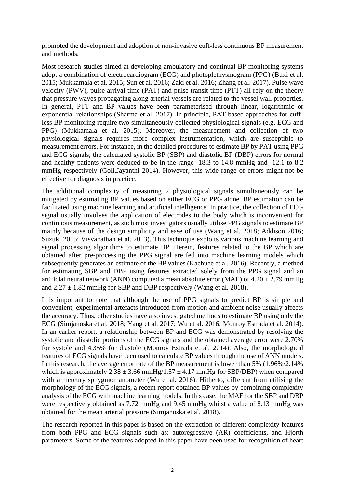promoted the development and adoption of non-invasive cuff-less continuous BP measurement and methods.

Most research studies aimed at developing ambulatory and continual BP monitoring systems adopt a combination of electrocardiogram (ECG) and photoplethysmogram (PPG) [\(Buxi et al.](#page-16-0)  [2015;](#page-16-0) [Mukkamala et al. 2015;](#page-17-2) [Sun et al. 2016;](#page-17-3) [Zaki et al. 2016;](#page-18-0) [Zhang et al. 2017\)](#page-18-1). Pulse wave velocity (PWV), pulse arrival time (PAT) and pulse transit time (PTT) all rely on the theory that pressure waves propagating along arterial vessels are related to the vessel wall properties. In general, PTT and BP values have been parameterised through linear, logarithmic or exponential relationships [\(Sharma et al. 2017\)](#page-17-4). In principle, PAT-based approaches for cuffless BP monitoring require two simultaneously collected physiological signals (e.g. ECG and PPG) [\(Mukkamala et al. 2015\)](#page-17-2). Moreover, the measurement and collection of two physiological signals requires more complex instrumentation, which are susceptible to measurement errors. For instance, in the detailed procedures to estimate BP by PAT using PPG and ECG signals, the calculated systolic BP (SBP) and diastolic BP (DBP) errors for normal and healthy patients were deduced to be in the range -18.3 to 14.8 mmHg and -12.1 to 8.2 mmHg respectively [\(Goli,Jayanthi 2014\)](#page-16-1). However, this wide range of errors might not be effective for diagnosis in practice.

The additional complexity of measuring 2 physiological signals simultaneously can be mitigated by estimating BP values based on either ECG or PPG alone. BP estimation can be facilitated using machine learning and artificial intelligence. In practice, the collection of ECG signal usually involves the application of electrodes to the body which is inconvenient for continuous measurement, as such most investigators usually utilise PPG signals to estimate BP mainly because of the design simplicity and ease of use (Wang [et al. 2018;](#page-17-5) [Addison 2016;](#page-16-2) [Suzuki 2015;](#page-17-6) [Visvanathan et al. 2013\)](#page-17-7). This technique exploits various machine learning and signal processing algorithms to estimate BP. Herein, features related to the BP which are obtained after pre-processing the PPG signal are fed into machine learning models which subsequently generates an estimate of the BP values [\(Kachuee et al. 2016\)](#page-17-8). Recently, a method for estimating SBP and DBP using features extracted solely from the PPG signal and an artificial neural network (ANN) computed a mean absolute error (MAE) of  $4.20 \pm 2.79$  mmHg and  $2.27 \pm 1.82$  mmHg for SBP and DBP respectively [\(Wang et](#page-17-5) al. 2018).

It is important to note that although the use of PPG signals to predict BP is simple and convenient, experimental artefacts introduced from motion and ambient noise usually affects the accuracy. Thus, other studies have also investigated methods to estimate BP using only the ECG [\(Simjanoska et al. 2018;](#page-17-9) [Yang et al. 2017;](#page-18-2) [Wu et al. 2016;](#page-18-3) [Monroy Estrada et al. 2014\)](#page-17-10). In an earlier report, a relationship between BP and ECG was demonstrated by resolving the systolic and diastolic portions of the ECG signals and the obtained average error were 2.70% for systole and 4.35% for diastole [\(Monroy Estrada et al. 2014\)](#page-17-10). Also, the morphological features of ECG signals have been used to calculate BP values through the use of ANN models. In this research, the average error rate of the BP measurement is lower than 5% (1.96%/2.14% which is approximately  $2.38 \pm 3.66$  mmHg/ $1.57 \pm 4.17$  mmHg for SBP/DBP) when compared with a mercury sphygmomanometer [\(Wu et al. 2016\)](#page-18-3). Hitherto, different from utilising the morphology of the ECG signals, a recent report obtained BP values by combining complexity analysis of the ECG with machine learning models. In this case, the MAE for the SBP and DBP were respectively obtained as 7.72 mmHg and 9.45 mmHg whilst a value of 8.13 mmHg was obtained for the mean arterial pressure [\(Simjanoska et al. 2018\)](#page-17-9).

The research reported in this paper is based on the extraction of different complexity features from both PPG and ECG signals such as: autoregressive (AR) coefficients, and Hjorth parameters. Some of the features adopted in this paper have been used for recognition of heart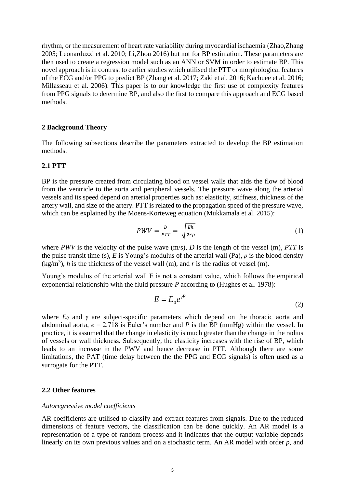rhythm, or the measurement of heart rate variability during myocardial ischaemia [\(Zhao,Zhang](#page-18-4)  [2005;](#page-18-4) [Leonarduzzi et al. 2010;](#page-17-11) [Li,Zhou 2016\)](#page-17-12) but not for BP estimation. These parameters are then used to create a regression model such as an ANN or SVM in order to estimate BP. This novel approach is in contrast to earlier studies which utilised the PTT or morphological features of the ECG and/or PPG to predict BP [\(Zhang et al. 2017;](#page-18-1) [Zaki et al. 2016;](#page-18-0) [Kachuee et al. 2016;](#page-17-8) [Millasseau et al. 2006\)](#page-17-13). This paper is to our knowledge the first use of complexity features from PPG signals to determine BP, and also the first to compare this approach and ECG based methods.

#### **2 Background Theory**

The following subsections describe the parameters extracted to develop the BP estimation methods.

# **2.1 PTT**

BP is the pressure created from circulating blood on vessel walls that aids the flow of blood from the ventricle to the aorta and peripheral vessels. The pressure wave along the arterial vessels and its speed depend on arterial properties such as: elasticity, stiffness, thickness of the artery wall, and size of the artery. PTT is related to the propagation speed of the pressure wave, which can be explained by the Moens-Korteweg equation [\(Mukkamala et al. 2015\)](#page-17-2):

$$
PWV = \frac{D}{PTT} = \sqrt{\frac{Eh}{2r\rho}}\tag{1}
$$

where *PWV* is the velocity of the pulse wave (m/s), *D* is the length of the vessel (m), *PTT* is the pulse transit time (s),  $E$  is Young's modulus of the arterial wall (Pa),  $\rho$  is the blood density  $(kg/m<sup>3</sup>)$ , *h* is the thickness of the vessel wall (m), and *r* is the radius of vessel (m).

Young's modulus of the arterial wall E is not a constant value, which follows the empirical exponential relationship with the fluid pressure *P* according to [\(Hughes et al. 1978\)](#page-16-3):

$$
E = E_0 e^{\gamma P} \tag{2}
$$

where *E<sup>0</sup>* and *γ* are subject-specific parameters which depend on the thoracic aorta and abdominal aorta,  $e = 2.718$  is Euler's number and *P* is the BP (mmHg) within the vessel. In practice, it is assumed that the change in elasticity is much greater than the change in the radius of vessels or wall thickness. Subsequently, the elasticity increases with the rise of BP, which leads to an increase in the PWV and hence decrease in PTT. Although there are some limitations, the PAT (time delay between the the PPG and ECG signals) is often used as a surrogate for the PTT.

#### **2.2 Other features**

#### *Autoregressive model coefficients*

AR coefficients are utilised to classify and extract features from signals. Due to the reduced dimensions of feature vectors, the classification can be done quickly. An AR model is a representation of a type of random process and it indicates that the output variable depends linearly on its own previous values and on a stochastic term. An AR model with order *p*, and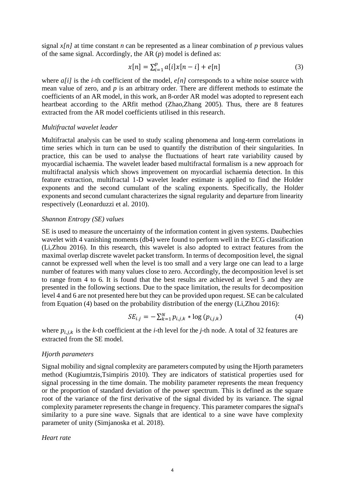signal  $x[n]$  at time constant *n* can be represented as a linear combination of *p* previous values of the same signal. Accordingly, the AR (*p*) model is defined as:

$$
x[n] = \sum_{i=1}^{p} a[i]x[n-i] + e[n]
$$
 (3)

where *a[i]* is the *i*-th coefficient of the model, *e[n]* corresponds to a white noise source with mean value of zero, and *p* is an arbitrary order. There are different methods to estimate the coefficients of an AR model, in this work, an 8-order AR model was adopted to represent each heartbeat according to the ARfit method [\(Zhao,Zhang 2005\)](#page-18-4). Thus, there are 8 features extracted from the AR model coefficients utilised in this research.

#### *Multifractal wavelet leader*

Multifractal analysis can be used to study scaling phenomena and long-term correlations in time series which in turn can be used to quantify the distribution of their singularities. In practice, this can be used to analyse the fluctuations of heart rate variability caused by myocardial ischaemia. The wavelet leader based multifractal formalism is a new approach for multifractal analysis which shows improvement on myocardial ischaemia detection. In this feature extraction, multifractal 1-D wavelet leader estimate is applied to find the Holder exponents and the second cumulant of the scaling exponents. Specifically, the Holder exponents and second cumulant characterizes the signal regularity and departure from linearity respectively [\(Leonarduzzi et al. 2010\)](#page-17-11).

#### *Shannon Entropy (SE) values*

SE is used to measure the uncertainty of the information content in given systems. Daubechies wavelet with 4 vanishing moments (db4) were found to perform well in the ECG classification [\(Li,Zhou 2016\)](#page-17-12). In this research, this wavelet is also adopted to extract features from the maximal overlap discrete wavelet packet transform. In terms of decomposition level, the signal cannot be expressed well when the level is too small and a very large one can lead to a large number of features with many values close to zero. Accordingly, the decomposition level is set to range from 4 to 6. It is found that the best results are achieved at level 5 and they are presented in the following sections. Due to the space limitation, the results for decomposition level 4 and 6 are not presented here but they can be provided upon request. SE can be calculated from Equation (4) based on the probability distribution of the energy [\(Li,Zhou 2016\)](#page-17-12):

$$
SE_{i,j} = -\sum_{k=1}^{N} p_{i,j,k} * \log (p_{i,j,k})
$$
\n(4)

where  $p_{i,j,k}$  is the *k*-th coefficient at the *i*-th level for the *j*-th node. A total of 32 features are extracted from the SE model.

#### *Hjorth parameters*

Signal mobility and signal complexity are parameters computed by using the Hjorth parameters method [\(Kugiumtzis,Tsimpiris 2010\)](#page-17-14). They are indicators of statistical properties used for signal processing in the time domain. The mobility parameter represents the mean frequency or the proportion of standard deviation of the power spectrum. This is defined as the square root of the variance of the first derivative of the signal divided by its variance. The signal complexity parameter represents the change in frequency. This parameter compares the signal's similarity to a pure [sine wave.](https://en.wikipedia.org/wiki/Sine_wave) Signals that are identical to a sine wave have complexity parameter of unity [\(Simjanoska et al. 2018\)](#page-17-9).

#### *Heart rate*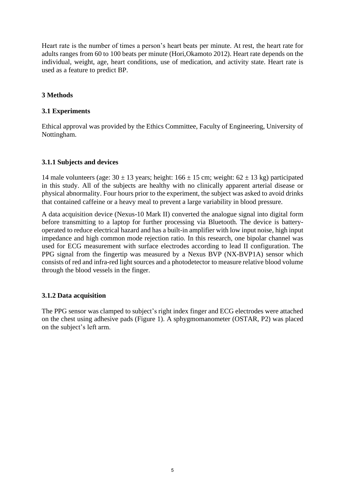Heart rate is the number of times a person's heart beats per minute. At rest, the heart rate for adults ranges from 60 to 100 beats per minute [\(Hori,Okamoto 2012\)](#page-16-4). Heart rate depends on the individual, weight, age, heart conditions, use of medication, and activity state. Heart rate is used as a feature to predict BP.

# **3 Methods**

### **3.1 Experiments**

Ethical approval was provided by the Ethics Committee, Faculty of Engineering, University of Nottingham.

### **3.1.1 Subjects and devices**

14 male volunteers (age:  $30 \pm 13$  years; height:  $166 \pm 15$  cm; weight:  $62 \pm 13$  kg) participated in this study. All of the subjects are healthy with no clinically apparent arterial disease or physical abnormality. Four hours prior to the experiment, the subject was asked to avoid drinks that contained caffeine or a heavy meal to prevent a large variability in blood pressure.

A data acquisition device (Nexus-10 Mark II) converted the analogue signal into digital form before transmitting to a laptop for further processing via Bluetooth. The device is batteryoperated to reduce electrical hazard and has a built-in amplifier with low input noise, high input impedance and high common mode rejection ratio. In this research, one bipolar channel was used for ECG measurement with surface electrodes according to lead II configuration. The PPG signal from the fingertip was measured by a Nexus BVP (NX-BVP1A) sensor which consists of red and infra-red light sources and a photodetector to measure relative blood volume through the blood vessels in the finger.

### **3.1.2 Data acquisition**

The PPG sensor was clamped to subject's right index finger and ECG electrodes were attached on the chest using adhesive pads (Figure 1). A sphygmomanometer (OSTAR, P2) was placed on the subject's left arm.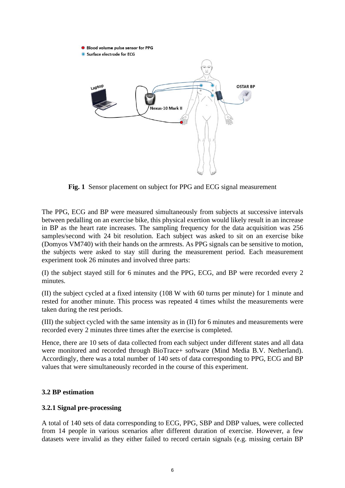

**Fig. 1** Sensor placement on subject for PPG and ECG signal measurement

The PPG, ECG and BP were measured simultaneously from subjects at successive intervals between pedalling on an exercise bike, this physical exertion would likely result in an increase in BP as the heart rate increases. The sampling frequency for the data acquisition was 256 samples/second with 24 bit resolution. Each subject was asked to sit on an exercise bike (Domyos VM740) with their hands on the armrests. As PPG signals can be sensitive to motion, the subjects were asked to stay still during the measurement period. Each measurement experiment took 26 minutes and involved three parts:

(I) the subject stayed still for 6 minutes and the PPG, ECG, and BP were recorded every 2 minutes.

(II) the subject cycled at a fixed intensity (108 W with 60 turns per minute) for 1 minute and rested for another minute. This process was repeated 4 times whilst the measurements were taken during the rest periods.

(III) the subject cycled with the same intensity as in (II) for 6 minutes and measurements were recorded every 2 minutes three times after the exercise is completed.

Hence, there are 10 sets of data collected from each subject under different states and all data were monitored and recorded through BioTrace+ software (Mind Media B.V. Netherland). Accordingly, there was a total number of 140 sets of data corresponding to PPG, ECG and BP values that were simultaneously recorded in the course of this experiment.

# **3.2 BP estimation**

### **3.2.1 Signal pre-processing**

A total of 140 sets of data corresponding to ECG, PPG, SBP and DBP values, were collected from 14 people in various scenarios after different duration of exercise. However, a few datasets were invalid as they either failed to record certain signals (e.g. missing certain BP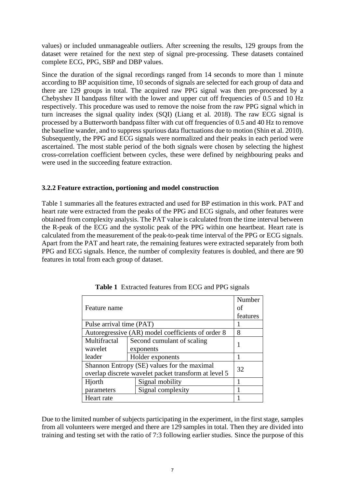values) or included unmanageable outliers. After screening the results, 129 groups from the dataset were retained for the next step of signal pre-processing. These datasets contained complete ECG, PPG, SBP and DBP values.

Since the duration of the signal recordings ranged from 14 seconds to more than 1 minute according to BP acquisition time, 10 seconds of signals are selected for each group of data and there are 129 groups in total. The acquired raw PPG signal was then pre-processed by a Chebyshev II bandpass filter with the lower and upper cut off frequencies of 0.5 and 10 Hz respectively. This procedure was used to remove the noise from the raw PPG signal which in turn increases the signal quality index (SQI) [\(Liang et al. 2018\)](#page-17-15). The raw ECG signal is processed by a Butterworth bandpass filter with cut off frequencies of 0.5 and 40 Hz to remove the baseline wander, and to suppress spurious data fluctuations due to motion [\(Shin et al. 2010\)](#page-17-16). Subsequently, the PPG and ECG signals were normalized and their peaks in each period were ascertained. The most stable period of the both signals were chosen by selecting the highest cross-correlation coefficient between cycles, these were defined by neighbouring peaks and were used in the succeeding feature extraction.

# **3.2.2 Feature extraction, portioning and model construction**

Table 1 summaries all the features extracted and used for BP estimation in this work. PAT and heart rate were extracted from the peaks of the PPG and ECG signals, and other features were obtained from complexity analysis. The PAT value is calculated from the time interval between the R-peak of the ECG and the systolic peak of the PPG within one heartbeat. Heart rate is calculated from the measurement of the peak-to-peak time interval of the PPG or ECG signals. Apart from the PAT and heart rate, the remaining features were extracted separately from both PPG and ECG signals. Hence, the number of complexity features is doubled, and there are 90 features in total from each group of dataset.

|                                                      |                                             | Number   |  |  |  |
|------------------------------------------------------|---------------------------------------------|----------|--|--|--|
| Feature name                                         |                                             |          |  |  |  |
|                                                      |                                             | features |  |  |  |
| Pulse arrival time (PAT)                             |                                             |          |  |  |  |
| Autoregressive (AR) model coefficients of order 8    | 8                                           |          |  |  |  |
| Multifractal                                         | Second cumulant of scaling                  |          |  |  |  |
| wavelet                                              | exponents                                   |          |  |  |  |
| leader                                               | Holder exponents                            |          |  |  |  |
|                                                      | Shannon Entropy (SE) values for the maximal | 32       |  |  |  |
| overlap discrete wavelet packet transform at level 5 |                                             |          |  |  |  |
| Hjorth                                               |                                             |          |  |  |  |
| parameters                                           |                                             |          |  |  |  |
| Heart rate                                           |                                             |          |  |  |  |

**Table 1** Extracted features from ECG and PPG signals

Due to the limited number of subjects participating in the experiment, in the first stage, samples from all volunteers were merged and there are 129 samples in total. Then they are divided into training and testing set with the ratio of 7:3 following earlier studies. Since the purpose of this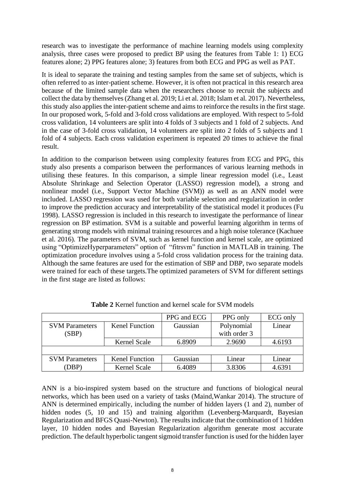research was to investigate the performance of machine learning models using complexity analysis, three cases were proposed to predict BP using the features from Table 1: 1) ECG features alone; 2) PPG features alone; 3) features from both ECG and PPG as well as PAT.

It is ideal to separate the training and testing samples from the same set of subjects, which is often referred to as inter-patient scheme. However, it is often not practical in this research area because of the limited sample data when the researchers choose to recruit the subjects and collect the data by themselves[\(Zhang et al. 2019;](#page-18-5) [Li et al. 2018;](#page-17-17) [Islam et al. 2017\)](#page-16-5). Nevertheless, this study also applies the inter-patient scheme and aims to reinforce the results in the first stage. In our proposed work, 5-fold and 3-fold cross validations are employed. With respect to 5-fold cross validation, 14 volunteers are split into 4 folds of 3 subjects and 1 fold of 2 subjects. And in the case of 3-fold cross validation, 14 volunteers are split into 2 folds of 5 subjects and 1 fold of 4 subjects. Each cross validation experiment is repeated 20 times to achieve the final result.

In addition to the comparison between using complexity features from ECG and PPG, this study also presents a comparison between the performances of various learning methods in utilising these features. In this comparison, a simple linear regression model (i.e., Least Absolute Shrinkage and Selection Operator (LASSO) regression model), a strong and nonlinear model (i.e., Support Vector Machine (SVM)) as well as an ANN model were included. LASSO regression was used for both variable selection and regularization in order to improve the prediction accuracy and interpretability of the statistical model it produces [\(Fu](#page-16-6)  [1998\)](#page-16-6). LASSO regression is included in this research to investigate the performance of linear regression on BP estimation. SVM is a suitable and powerful learning algorithm in terms of generating strong models with minimal training resources and a high noise tolerance [\(Kachuee](#page-17-8)  et al. [2016\)](#page-17-8). The parameters of SVM, such as kernel function and kernel scale, are optimized using "OptimizeHyperparameters" option of "fitrsvm" function in MATLAB in training. The optimization procedure involves using a 5-fold cross validation process for the training data. Although the same features are used for the estimation of SBP and DBP, two separate models were trained for each of these targets.The optimized parameters of SVM for different settings in the first stage are listed as follows:

|                                |                       | PPG and ECG | PPG only                   | ECG only |
|--------------------------------|-----------------------|-------------|----------------------------|----------|
| <b>SVM</b> Parameters<br>(SBP) | <b>Kenel Function</b> | Gaussian    | Polynomial<br>with order 3 | Linear   |
|                                | Kernel Scale          | 6.8909      | 2.9690                     | 4.6193   |
|                                |                       |             |                            |          |
|                                |                       |             |                            |          |
| <b>SVM Parameters</b>          | <b>Kenel Function</b> | Gaussian    | Linear                     | Linear   |
| (DBP                           | Kernel Scale          | 6.4089      | 3.8306                     | 4.6391   |

**Table 2** Kernel function and kernel scale for SVM models

ANN is a bio-inspired system based on the structure and functions of biological neural networks, which has been used on a variety of tasks [\(Maind,Wankar 2014\)](#page-17-18). The structure of ANN is determined empirically, including the number of hidden layers (1 and 2), number of hidden nodes (5, 10 and 15) and training algorithm (Levenberg-Marquardt, Bayesian Regularization and BFGS Quasi-Newton). The results indicate that the combination of 1 hidden layer, 10 hidden nodes and Bayesian Regularization algorithm generate most accurate prediction. The default hyperbolic tangent sigmoid transfer function is used for the hidden layer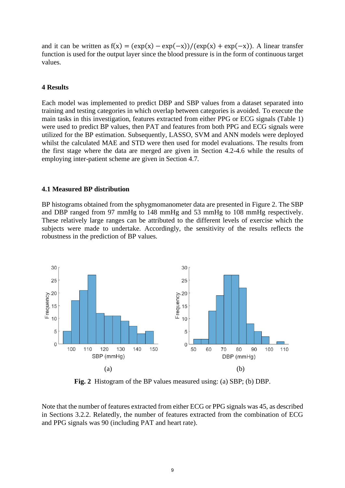and it can be written as  $f(x) = \frac{(\exp(x) - \exp(-x))}{(\exp(x) + \exp(-x))}$ . A linear transfer function is used for the output layer since the blood pressure is in the form of continuous target values.

#### **4 Results**

Each model was implemented to predict DBP and SBP values from a dataset separated into training and testing categories in which overlap between categories is avoided. To execute the main tasks in this investigation, features extracted from either PPG or ECG signals (Table 1) were used to predict BP values, then PAT and features from both PPG and ECG signals were utilized for the BP estimation. Subsequently, LASSO, SVM and ANN models were deployed whilst the calculated MAE and STD were then used for model evaluations. The results from the first stage where the data are merged are given in Section 4.2-4.6 while the results of employing inter-patient scheme are given in Section 4.7.

#### **4.1 Measured BP distribution**

BP histograms obtained from the sphygmomanometer data are presented in Figure 2. The SBP and DBP ranged from 97 mmHg to 148 mmHg and 53 mmHg to 108 mmHg respectively. These relatively large ranges can be attributed to the different levels of exercise which the subjects were made to undertake. Accordingly, the sensitivity of the results reflects the robustness in the prediction of BP values.



**Fig. 2** Histogram of the BP values measured using: (a) SBP; (b) DBP.

Note that the number of features extracted from either ECG or PPG signals was 45, as described in Sections 3.2.2. Relatedly, the number of features extracted from the combination of ECG and PPG signals was 90 (including PAT and heart rate).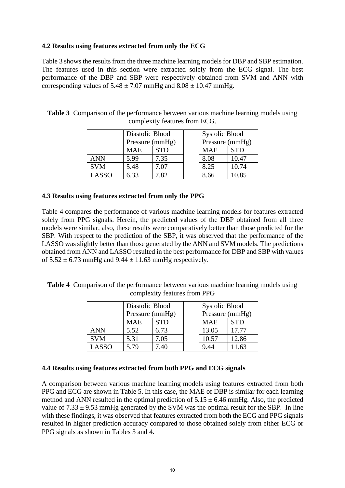# **4.2 Results using features extracted from only the ECG**

Table 3 shows the results from the three machine learning models for DBP and SBP estimation. The features used in this section were extracted solely from the ECG signal. The best performance of the DBP and SBP were respectively obtained from SVM and ANN with corresponding values of  $5.48 \pm 7.07$  mmHg and  $8.08 \pm 10.47$  mmHg.

|            |            | Diastolic Blood | <b>Systolic Blood</b> |            |
|------------|------------|-----------------|-----------------------|------------|
|            |            | Pressure (mmHg) | Pressure (mmHg)       |            |
|            | <b>MAE</b> | <b>STD</b>      | <b>MAE</b>            | <b>STD</b> |
| ANN        | 5.99       | 7.35            | 8.08                  | 10.47      |
| <b>SVM</b> | 5.48       | 7.07            | 8.25                  | 10.74      |
| LASSO      | 6.33       | 7.82            | 8.66                  | 10.85      |

**Table 3** Comparison of the performance between various machine learning models using complexity features from ECG.

### **4.3 Results using features extracted from only the PPG**

Table 4 compares the performance of various machine learning models for features extracted solely from PPG signals. Herein, the predicted values of the DBP obtained from all three models were similar, also, these results were comparatively better than those predicted for the SBP. With respect to the prediction of the SBP, it was observed that the performance of the LASSO was slightly better than those generated by the ANN and SVM models. The predictions obtained from ANN and LASSO resulted in the best performance for DBP and SBP with values of  $5.52 \pm 6.73$  mmHg and  $9.44 \pm 11.63$  mmHg respectively.

| <b>Table 4</b> Comparison of the performance between various machine learning models using |
|--------------------------------------------------------------------------------------------|
| complexity features from PPG                                                               |

|            | Diastolic Blood<br>Pressure (mmHg) |            | <b>Systolic Blood</b><br>Pressure (mmHg) |            |
|------------|------------------------------------|------------|------------------------------------------|------------|
|            | MAE                                | <b>STD</b> | <b>MAE</b>                               | <b>STD</b> |
| <b>ANN</b> | 5.52                               | 6.73       | 13.05                                    | 17.77      |
| <b>SVM</b> | 5.31                               | 7.05       | 10.57                                    | 12.86      |
| LASSO      | 5.79                               | 7.40       | 9.44                                     | 11.63      |

### **4.4 Results using features extracted from both PPG and ECG signals**

A comparison between various machine learning models using features extracted from both PPG and ECG are shown in Table 5. In this case, the MAE of DBP is similar for each learning method and ANN resulted in the optimal prediction of  $5.15 \pm 6.46$  mmHg. Also, the predicted value of  $7.33 \pm 9.53$  mmHg generated by the SVM was the optimal result for the SBP. In line with these findings, it was observed that features extracted from both the ECG and PPG signals resulted in higher prediction accuracy compared to those obtained solely from either ECG or PPG signals as shown in Tables 3 and 4.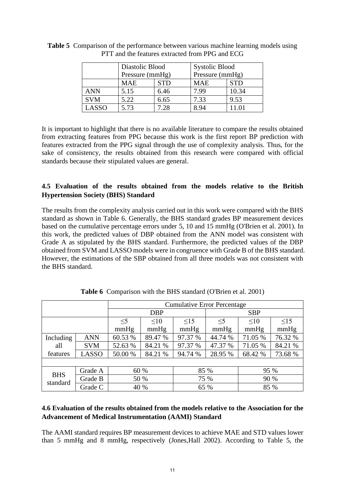|            | Diastolic Blood |            | <b>Systolic Blood</b> |            |  |
|------------|-----------------|------------|-----------------------|------------|--|
|            | Pressure (mmHg) |            | Pressure (mmHg)       |            |  |
|            | <b>MAE</b>      | <b>STD</b> | <b>MAE</b>            | <b>STD</b> |  |
| <b>ANN</b> | 5.15            | 6.46       | 7.99                  | 10.34      |  |
| <b>SVM</b> | 5.22            | 6.65       | 7.33                  | 9.53       |  |
| LASSO      | 5.73            | 728        | 8.94                  |            |  |

**Table 5** Comparison of the performance between various machine learning models using PTT and the features extracted from PPG and ECG

It is important to highlight that there is no available literature to compare the results obtained from extracting features from PPG because this work is the first report BP prediction with features extracted from the PPG signal through the use of complexity analysis. Thus, for the sake of consistency, the results obtained from this research were compared with official standards because their stipulated values are general.

# **4.5 Evaluation of the results obtained from the models relative to the British Hypertension Society (BHS) Standard**

The results from the complexity analysis carried out in this work were compared with the BHS standard as shown in Table 6. Generally, the BHS standard grades BP measurement devices based on the cumulative percentage errors under 5, 10 and 15 mmHg [\(O'Brien et al. 2001\)](#page-17-19). In this work, the predicted values of DBP obtained from the ANN model was consistent with Grade A as stipulated by the BHS standard. Furthermore, the predicted values of the DBP obtained from SVM and LASSO models were in congruence with Grade B of the BHS standard. However, the estimations of the SBP obtained from all three models was not consistent with the BHS standard.

|            |            | <b>Cumulative Error Percentage</b> |           |           |            |           |           |  |
|------------|------------|------------------------------------|-----------|-----------|------------|-----------|-----------|--|
|            |            | <b>DBP</b>                         |           |           | <b>SBP</b> |           |           |  |
|            |            | $\leq$ 5                           | $\leq 10$ | $\leq$ 15 | $\leq$ 5   | $\leq 10$ | $\leq$ 15 |  |
|            |            | mmHg                               | mmHg      | mmHg      | mmHg       | mmHg      | mmHg      |  |
| Including  | <b>ANN</b> | 60.53 %                            | 89.47 %   | 97.37 %   | 44.74 %    | 71.05 %   | 76.32 %   |  |
| all        | <b>SVM</b> | 52.63 %                            | 84.21 %   | 97.37 %   | 47.37 %    | 71.05 %   | 84.21 %   |  |
| features   | LASSO      | 50.00 %                            | 84.21 %   | 94.74 %   | 28.95 %    | 68.42 %   | 73.68 %   |  |
|            |            |                                    |           |           |            |           |           |  |
| <b>BHS</b> | Grade A    |                                    | 60 %      |           | 85 %       |           | 95 %      |  |
| standard   | Grade B    |                                    | 50 %      |           | 75 %       | 90 %      |           |  |
|            | Grade C    | 40 %                               |           | 65 %      |            | 85 %      |           |  |

**Table 6** Comparison with the BHS standard [\(O'Brien et al. 2001\)](#page-17-19)

# **4.6 Evaluation of the results obtained from the models relative to the Association for the Advancement of Medical Instrumentation (AAMI) Standard**

The AAMI standard requires BP measurement devices to achieve MAE and STD values lower than 5 mmHg and 8 mmHg, respectively [\(Jones,Hall 2002\)](#page-16-7). According to Table 5, the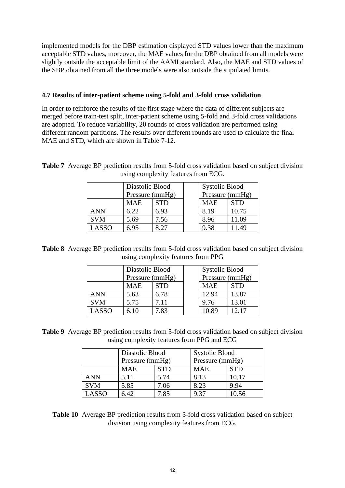implemented models for the DBP estimation displayed STD values lower than the maximum acceptable STD values, moreover, the MAE values for the DBP obtained from all models were slightly outside the acceptable limit of the AAMI standard. Also, the MAE and STD values of the SBP obtained from all the three models were also outside the stipulated limits.

# **4.7 Results of inter-patient scheme using 5-fold and 3-fold cross validation**

In order to reinforce the results of the first stage where the data of different subjects are merged before train-test split, inter-patient scheme using 5-fold and 3-fold cross validations are adopted. To reduce variability, 20 rounds of cross validation are performed using different random partitions. The results over different rounds are used to calculate the final MAE and STD, which are shown in Table 7-12.

**Table 7** Average BP prediction results from 5-fold cross validation based on subject division using complexity features from ECG.

|            | Diastolic Blood<br>Pressure (mmHg) |            | <b>Systolic Blood</b><br>Pressure (mmHg) |            |
|------------|------------------------------------|------------|------------------------------------------|------------|
|            | MAE                                | <b>STD</b> | <b>MAE</b>                               | <b>STD</b> |
| <b>ANN</b> | 6.22                               | 6.93       | 8.19                                     | 10.75      |
| <b>SVM</b> | 5.69                               | 7.56       | 8.96                                     | 11.09      |
| LASSO      | 6.95                               |            | 9.38                                     | 11.49      |

**Table 8** Average BP prediction results from 5-fold cross validation based on subject division using complexity features from PPG

|            | Diastolic Blood |            | <b>Systolic Blood</b> |            |
|------------|-----------------|------------|-----------------------|------------|
|            | Pressure (mmHg) |            | Pressure (mmHg)       |            |
|            | <b>MAE</b>      | <b>STD</b> | <b>MAE</b>            | <b>STD</b> |
| <b>ANN</b> | 5.63            | 6.78       | 12.94                 | 13.87      |
| <b>SVM</b> | 5.75            | 7.11       | 9.76                  | 13.01      |
| LASSO      | 6.10            | 7.83       | 10.89                 | 12.17      |

**Table 9** Average BP prediction results from 5-fold cross validation based on subject division using complexity features from PPG and ECG

|            | Diastolic Blood |            | <b>Systolic Blood</b> |            |  |
|------------|-----------------|------------|-----------------------|------------|--|
|            | Pressure (mmHg) |            | Pressure (mmHg)       |            |  |
|            | <b>MAE</b>      | <b>STD</b> | <b>MAE</b>            | <b>STD</b> |  |
| <b>ANN</b> | 5.11            | 5.74       | 8.13                  | 10.17      |  |
| <b>SVM</b> | 5.85            | 7.06       | 8.23                  | 9.94       |  |
| LASSO      | 6.42            | 7.85       | 9.37                  | 10.56      |  |

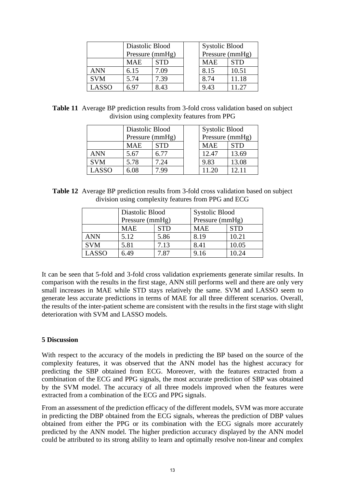|            | Diastolic Blood |            |  | <b>Systolic Blood</b> |            |  |
|------------|-----------------|------------|--|-----------------------|------------|--|
|            | Pressure (mmHg) |            |  | Pressure (mmHg)       |            |  |
|            | MAE             | <b>STD</b> |  | <b>MAE</b>            | <b>STD</b> |  |
| <b>ANN</b> | 6.15            | 7.09       |  | 8.15                  | 10.51      |  |
| <b>SVM</b> | 5.74            | 7.39       |  | 8.74                  | 11.18      |  |
| LASSO      | 6 ዓ′            | 8.43       |  | 9.43                  | 11.27      |  |

**Table 11** Average BP prediction results from 3-fold cross validation based on subject division using complexity features from PPG

|              | Diastolic Blood |            | <b>Systolic Blood</b> |            |
|--------------|-----------------|------------|-----------------------|------------|
|              | Pressure (mmHg) |            | Pressure (mmHg)       |            |
|              | MAE             | <b>STD</b> | <b>MAE</b>            | <b>STD</b> |
| <b>ANN</b>   | 5.67            | 6.77       | 12.47                 | 13.69      |
| <b>SVM</b>   | 5.78            | 7.24       | 9.83                  | 13.08      |
| <b>LASSO</b> | 6.08            | -99        | 11.20                 | 12.11      |

**Table 12** Average BP prediction results from 3-fold cross validation based on subject division using complexity features from PPG and ECG

|            | Diastolic Blood |            | <b>Systolic Blood</b> |            |
|------------|-----------------|------------|-----------------------|------------|
|            | Pressure (mmHg) |            | Pressure (mmHg)       |            |
|            | <b>MAE</b>      | <b>STD</b> | <b>MAE</b>            | <b>STD</b> |
| <b>ANN</b> | 5.12            | 5.86       | 8.19                  | 10.21      |
| <b>SVM</b> | 5.81            | 7.13       | 8.41                  | 10.05      |
| LASSO      | 6.49            | 787        | 9.16                  | 10.24      |

It can be seen that 5-fold and 3-fold cross validation expriements generate similar results. In comparison with the results in the first stage, ANN still performs well and there are only very small increases in MAE while STD stays relatively the same. SVM and LASSO seem to generate less accurate predictions in terms of MAE for all three different scenarios. Overall, the results of the inter-patient scheme are consistent with the results in the first stage with slight deterioration with SVM and LASSO models.

### **5 Discussion**

With respect to the accuracy of the models in predicting the BP based on the source of the complexity features, it was observed that the ANN model has the highest accuracy for predicting the SBP obtained from ECG. Moreover, with the features extracted from a combination of the ECG and PPG signals, the most accurate prediction of SBP was obtained by the SVM model. The accuracy of all three models improved when the features were extracted from a combination of the ECG and PPG signals.

From an assessment of the prediction efficacy of the different models, SVM was more accurate in predicting the DBP obtained from the ECG signals, whereas the prediction of DBP values obtained from either the PPG or its combination with the ECG signals more accurately predicted by the ANN model. The higher prediction accuracy displayed by the ANN model could be attributed to its strong ability to learn and optimally resolve non-linear and complex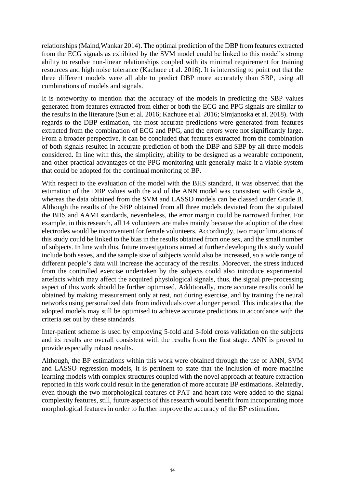relationships [\(Maind,Wankar 2014\)](#page-17-18). The optimal prediction of the DBP from features extracted from the ECG signals as exhibited by the SVM model could be linked to this model's strong ability to resolve non-linear relationships coupled with its minimal requirement for training resources and high noise tolerance [\(Kachuee et al. 2016\)](#page-17-8). It is interesting to point out that the three different models were all able to predict DBP more accurately than SBP, using all combinations of models and signals.

It is noteworthy to mention that the accuracy of the models in predicting the SBP values generated from features extracted from either or both the ECG and PPG signals are similar to the results in the literature (Sun et al. 2016; Kachuee et al. 2016; Simjanoska et al. 2018). With regards to the DBP estimation, the most accurate predictions were generated from features extracted from the combination of ECG and PPG, and the errors were not significantly large. From a broader perspective, it can be concluded that features extracted from the combination of both signals resulted in accurate prediction of both the DBP and SBP by all three models considered. In line with this, the simplicity, ability to be designed as a wearable component, and other practical advantages of the PPG monitoring unit generally make it a viable system that could be adopted for the continual monitoring of BP.

With respect to the evaluation of the model with the BHS standard, it was observed that the estimation of the DBP values with the aid of the ANN model was consistent with Grade A, whereas the data obtained from the SVM and LASSO models can be classed under Grade B. Although the results of the SBP obtained from all three models deviated from the stipulated the BHS and AAMI standards, nevertheless, the error margin could be narrowed further. For example, in this research, all 14 volunteers are males mainly because the adoption of the chest electrodes would be inconvenient for female volunteers. Accordingly, two major limitations of this study could be linked to the bias in the results obtained from one sex, and the small number of subjects. In line with this, future investigations aimed at further developing this study would include both sexes, and the sample size of subjects would also be increased, so a wide range of different people's data will increase the accuracy of the results. Moreover, the stress induced from the controlled exercise undertaken by the subjects could also introduce experimental artefacts which may affect the acquired physiological signals, thus, the signal pre-processing aspect of this work should be further optimised. Additionally, more accurate results could be obtained by making measurement only at rest, not during exercise, and by training the neural networks using personalized data from individuals over a longer period. This indicates that the adopted models may still be optimised to achieve accurate predictions in accordance with the criteria set out by these standards.

Inter-patient scheme is used by employing 5-fold and 3-fold cross validation on the subjects and its results are overall consistent with the results from the first stage. ANN is proved to provide especially robust results.

Although, the BP estimations within this work were obtained through the use of ANN, SVM and LASSO regression models, it is pertinent to state that the inclusion of more machine learning models with complex structures coupled with the novel approach at feature extraction reported in this work could result in the generation of more accurate BP estimations. Relatedly, even though the two morphological features of PAT and heart rate were added to the signal complexity features, still, future aspects of this research would benefit from incorporating more morphological features in order to further improve the accuracy of the BP estimation.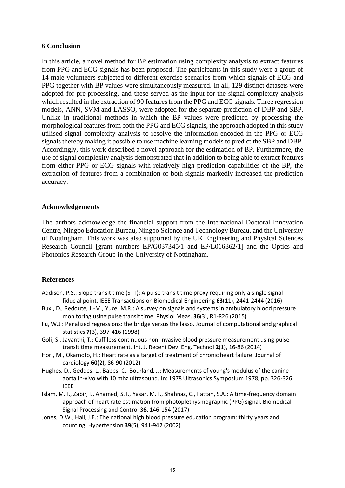### **6 Conclusion**

In this article, a novel method for BP estimation using complexity analysis to extract features from PPG and ECG signals has been proposed. The participants in this study were a group of 14 male volunteers subjected to different exercise scenarios from which signals of ECG and PPG together with BP values were simultaneously measured. In all, 129 distinct datasets were adopted for pre-processing, and these served as the input for the signal complexity analysis which resulted in the extraction of 90 features from the PPG and ECG signals. Three regression models, ANN, SVM and LASSO, were adopted for the separate prediction of DBP and SBP. Unlike in traditional methods in which the BP values were predicted by processing the morphological features from both the PPG and ECG signals, the approach adopted in this study utilised signal complexity analysis to resolve the information encoded in the PPG or ECG signals thereby making it possible to use machine learning models to predict the SBP and DBP. Accordingly, this work described a novel approach for the estimation of BP. Furthermore, the use of signal complexity analysis demonstrated that in addition to being able to extract features from either PPG or ECG signals with relatively high prediction capabilities of the BP, the extraction of features from a combination of both signals markedly increased the prediction accuracy.

### **Acknowledgements**

The authors acknowledge the financial support from the International Doctoral Innovation Centre, Ningbo Education Bureau, Ningbo Science and Technology Bureau, and the University of Nottingham. This work was also supported by the UK Engineering and Physical Sciences Research Council [grant numbers EP/G037345/1 and EP/L016362/1] and the Optics and Photonics Research Group in the University of Nottingham.

# **References**

- <span id="page-16-2"></span>Addison, P.S.: Slope transit time (STT): A pulse transit time proxy requiring only a single signal fiducial point. IEEE Transactions on Biomedical Engineering **63**(11), 2441-2444 (2016)
- <span id="page-16-0"></span>Buxi, D., Redoute, J.-M., Yuce, M.R.: A survey on signals and systems in ambulatory blood pressure monitoring using pulse transit time. Physiol Meas. **36**(3), R1-R26 (2015)
- <span id="page-16-6"></span>Fu, W.J.: Penalized regressions: the bridge versus the lasso. Journal of computational and graphical statistics **7**(3), 397-416 (1998)
- <span id="page-16-1"></span>Goli, S., Jayanthi, T.: Cuff less continuous non-invasive blood pressure measurement using pulse transit time measurement. Int. J. Recent Dev. Eng. Technol **2**(1), 16-86 (2014)
- <span id="page-16-4"></span>Hori, M., Okamoto, H.: Heart rate as a target of treatment of chronic heart failure. Journal of cardiology **60**(2), 86-90 (2012)
- <span id="page-16-3"></span>Hughes, D., Geddes, L., Babbs, C., Bourland, J.: Measurements of young's modulus of the canine aorta in-vivo with 10 mhz ultrasound. In: 1978 Ultrasonics Symposium 1978, pp. 326-326. IEEE
- <span id="page-16-5"></span>Islam, M.T., Zabir, I., Ahamed, S.T., Yasar, M.T., Shahnaz, C., Fattah, S.A.: A time-frequency domain approach of heart rate estimation from photoplethysmographic (PPG) signal. Biomedical Signal Processing and Control **36**, 146-154 (2017)
- <span id="page-16-7"></span>Jones, D.W., Hall, J.E.: The national high blood pressure education program: thirty years and counting. Hypertension **39**(5), 941-942 (2002)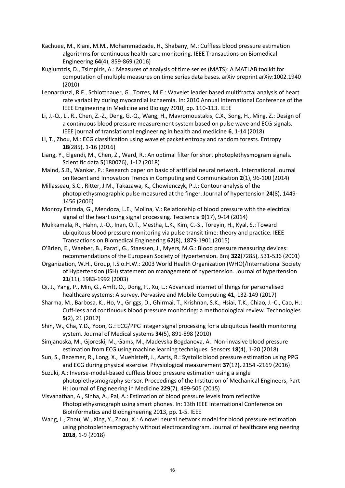- <span id="page-17-8"></span>Kachuee, M., Kiani, M.M., Mohammadzade, H., Shabany, M.: Cuffless blood pressure estimation algorithms for continuous health-care monitoring. IEEE Transactions on Biomedical Engineering **64**(4), 859-869 (2016)
- <span id="page-17-14"></span>Kugiumtzis, D., Tsimpiris, A.: Measures of analysis of time series (MATS): A MATLAB toolkit for computation of multiple measures on time series data bases. arXiv preprint arXiv:1002.1940 (2010)
- <span id="page-17-11"></span>Leonarduzzi, R.F., Schlotthauer, G., Torres, M.E.: Wavelet leader based multifractal analysis of heart rate variability during myocardial ischaemia. In: 2010 Annual International Conference of the IEEE Engineering in Medicine and Biology 2010, pp. 110-113. IEEE
- <span id="page-17-17"></span>Li, J.-Q., Li, R., Chen, Z.-Z., Deng, G.-Q., Wang, H., Mavromoustakis, C.X., Song, H., Ming, Z.: Design of a continuous blood pressure measurement system based on pulse wave and ECG signals. IEEE journal of translational engineering in health and medicine **6**, 1-14 (2018)
- <span id="page-17-12"></span>Li, T., Zhou, M.: ECG classification using wavelet packet entropy and random forests. Entropy **18**(285), 1-16 (2016)
- <span id="page-17-15"></span>Liang, Y., Elgendi, M., Chen, Z., Ward, R.: An optimal filter for short photoplethysmogram signals. Scientific data **5**(180076), 1-12 (2018)
- <span id="page-17-18"></span>Maind, S.B., Wankar, P.: Research paper on basic of artificial neural network. International Journal on Recent and Innovation Trends in Computing and Communication **2**(1), 96-100 (2014)
- <span id="page-17-13"></span>Millasseau, S.C., Ritter, J.M., Takazawa, K., Chowienczyk, P.J.: Contour analysis of the photoplethysmographic pulse measured at the finger. Journal of hypertension **24**(8), 1449- 1456 (2006)
- <span id="page-17-10"></span>Monroy Estrada, G., Mendoza, L.E., Molina, V.: Relationship of blood pressure with the electrical signal of the heart using signal processing. Tecciencia **9**(17), 9-14 (2014)
- <span id="page-17-2"></span>Mukkamala, R., Hahn, J.-O., Inan, O.T., Mestha, L.K., Kim, C.-S., Töreyin, H., Kyal, S.: Toward ubiquitous blood pressure monitoring via pulse transit time: theory and practice. IEEE Transactions on Biomedical Engineering **62**(8), 1879-1901 (2015)
- <span id="page-17-19"></span>O'Brien, E., Waeber, B., Parati, G., Staessen, J., Myers, M.G.: Blood pressure measuring devices: recommendations of the European Society of Hypertension. Bmj **322**(7285), 531-536 (2001)
- <span id="page-17-0"></span>Organization, W.H., Group, I.S.o.H.W.: 2003 World Health Organization (WHO)/International Society of Hypertension (ISH) statement on management of hypertension. Journal of hypertension **21**(11), 1983-1992 (2003)
- <span id="page-17-1"></span>Qi, J., Yang, P., Min, G., Amft, O., Dong, F., Xu, L.: Advanced internet of things for personalised healthcare systems: A survey. Pervasive and Mobile Computing **41**, 132-149 (2017)
- <span id="page-17-4"></span>Sharma, M., Barbosa, K., Ho, V., Griggs, D., Ghirmai, T., Krishnan, S.K., Hsiai, T.K., Chiao, J.-C., Cao, H.: Cuff-less and continuous blood pressure monitoring: a methodological review. Technologies **5**(2), 21 (2017)
- <span id="page-17-16"></span>Shin, W., Cha, Y.D., Yoon, G.: ECG/PPG integer signal processing for a ubiquitous health monitoring system. Journal of Medical systems **34**(5), 891-898 (2010)
- <span id="page-17-9"></span>Simjanoska, M., Gjoreski, M., Gams, M., Madevska Bogdanova, A.: Non-invasive blood pressure estimation from ECG using machine learning techniques. Sensors **18**(4), 1-20 (2018)
- <span id="page-17-3"></span>Sun, S., Bezemer, R., Long, X., Muehlsteff, J., Aarts, R.: Systolic blood pressure estimation using PPG and ECG during physical exercise. Physiological measurement **37**(12), 2154 -2169 (2016)
- <span id="page-17-6"></span>Suzuki, A.: Inverse-model-based cuffless blood pressure estimation using a single photoplethysmography sensor. Proceedings of the Institution of Mechanical Engineers, Part H: Journal of Engineering in Medicine **229**(7), 499-505 (2015)
- <span id="page-17-7"></span>Visvanathan, A., Sinha, A., Pal, A.: Estimation of blood pressure levels from reflective Photoplethysmograph using smart phones. In: 13th IEEE International Conference on BioInformatics and BioEngineering 2013, pp. 1-5. IEEE
- <span id="page-17-5"></span>Wang, L., Zhou, W., Xing, Y., Zhou, X.: A novel neural network model for blood pressure estimation using photoplethesmography without electrocardiogram. Journal of healthcare engineering **2018**, 1-9 (2018)